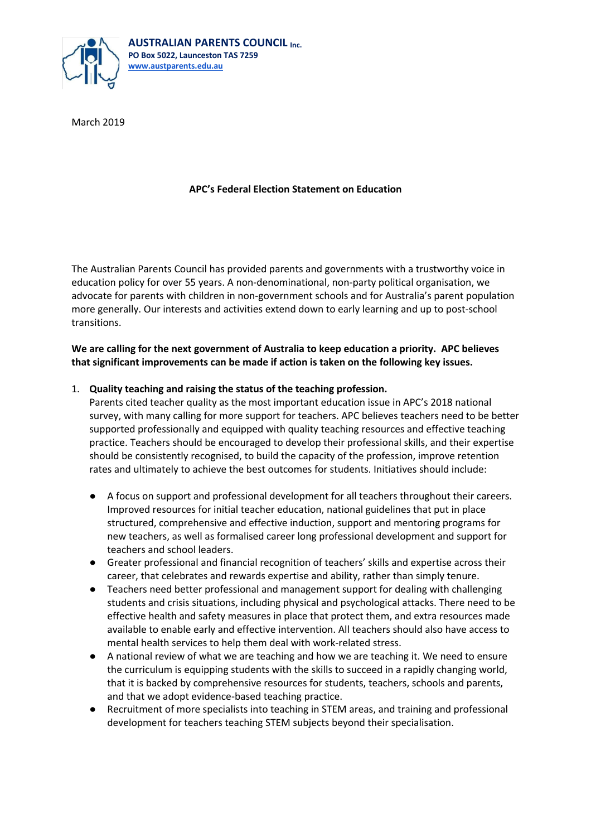

March 2019

## **APC's Federal Election Statement on Education**

The Australian Parents Council has provided parents and governments with a trustworthy voice in education policy for over 55 years. A non-denominational, non-party political organisation, we advocate for parents with children in non-government schools and for Australia's parent population more generally. Our interests and activities extend down to early learning and up to post-school transitions.

**We are calling for the next government of Australia to keep education a priority. APC believes that significant improvements can be made if action is taken on the following key issues.** 

## 1. **Quality teaching and raising the status of the teaching profession.**

Parents cited teacher quality as the most important education issue in APC's 2018 national survey, with many calling for more support for teachers. APC believes teachers need to be better supported professionally and equipped with quality teaching resources and effective teaching practice. Teachers should be encouraged to develop their professional skills, and their expertise should be consistently recognised, to build the capacity of the profession, improve retention rates and ultimately to achieve the best outcomes for students. Initiatives should include:

- A focus on support and professional development for all teachers throughout their careers. Improved resources for initial teacher education, national guidelines that put in place structured, comprehensive and effective induction, support and mentoring programs for new teachers, as well as formalised career long professional development and support for teachers and school leaders.
- Greater professional and financial recognition of teachers' skills and expertise across their career, that celebrates and rewards expertise and ability, rather than simply tenure.
- Teachers need better professional and management support for dealing with challenging students and crisis situations, including physical and psychological attacks. There need to be effective health and safety measures in place that protect them, and extra resources made available to enable early and effective intervention. All teachers should also have access to mental health services to help them deal with work-related stress.
- A national review of what we are teaching and how we are teaching it. We need to ensure the curriculum is equipping students with the skills to succeed in a rapidly changing world, that it is backed by comprehensive resources for students, teachers, schools and parents, and that we adopt evidence-based teaching practice.
- Recruitment of more specialists into teaching in STEM areas, and training and professional development for teachers teaching STEM subjects beyond their specialisation.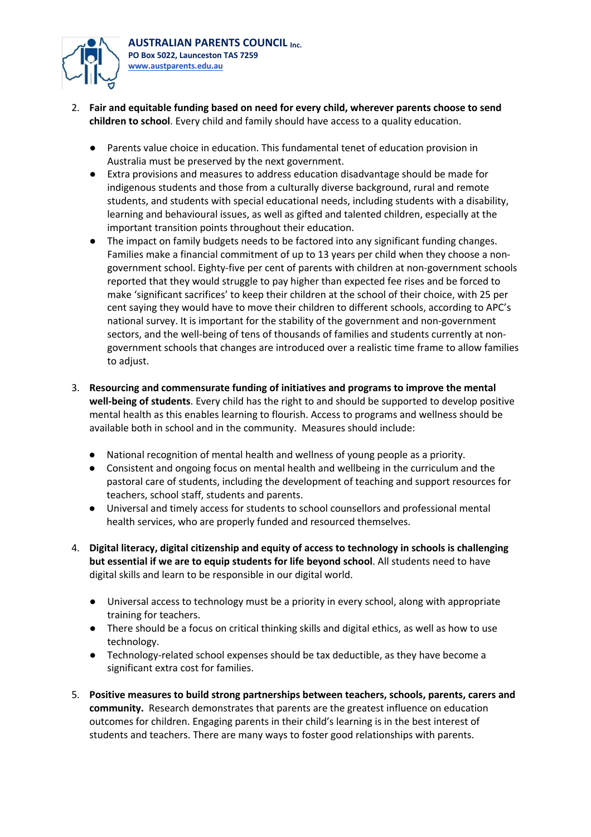

- 2. **Fair and equitable funding based on need for every child, wherever parents choose to send children to school**. Every child and family should have access to a quality education.
	- Parents value choice in education. This fundamental tenet of education provision in Australia must be preserved by the next government.
	- Extra provisions and measures to address education disadvantage should be made for indigenous students and those from a culturally diverse background, rural and remote students, and students with special educational needs, including students with a disability, learning and behavioural issues, as well as gifted and talented children, especially at the important transition points throughout their education.
	- The impact on family budgets needs to be factored into any significant funding changes. Families make a financial commitment of up to 13 years per child when they choose a nongovernment school. Eighty-five per cent of parents with children at non-government schools reported that they would struggle to pay higher than expected fee rises and be forced to make 'significant sacrifices' to keep their children at the school of their choice, with 25 per cent saying they would have to move their children to different schools, according to APC's national survey. It is important for the stability of the government and non-government sectors, and the well-being of tens of thousands of families and students currently at nongovernment schools that changes are introduced over a realistic time frame to allow families to adjust.
- 3. **Resourcing and commensurate funding of initiatives and programs to improve the mental well-being of students**. Every child has the right to and should be supported to develop positive mental health as this enables learning to flourish. Access to programs and wellness should be available both in school and in the community. Measures should include:
	- National recognition of mental health and wellness of young people as a priority.
	- Consistent and ongoing focus on mental health and wellbeing in the curriculum and the pastoral care of students, including the development of teaching and support resources for teachers, school staff, students and parents.
	- Universal and timely access for students to school counsellors and professional mental health services, who are properly funded and resourced themselves.
- 4. **Digital literacy, digital citizenship and equity of access to technology in schools is challenging but essential if we are to equip students for life beyond school**. All students need to have digital skills and learn to be responsible in our digital world.
	- Universal access to technology must be a priority in every school, along with appropriate training for teachers.
	- There should be a focus on critical thinking skills and digital ethics, as well as how to use technology.
	- Technology-related school expenses should be tax deductible, as they have become a significant extra cost for families.
- 5. **Positive measures to build strong partnerships between teachers, schools, parents, carers and community.** Research demonstrates that parents are the greatest influence on education outcomes for children. Engaging parents in their child's learning is in the best interest of students and teachers. There are many ways to foster good relationships with parents.